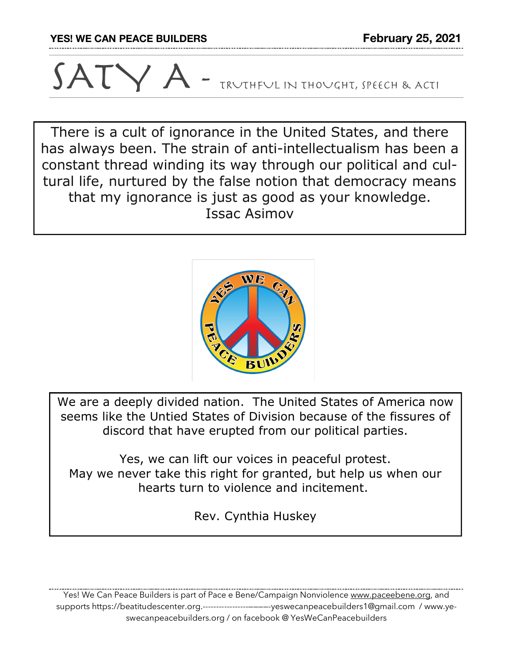## $\sum_{k=1}^{\infty}$  - Truthful in thought, speech & acti

There is a cult of ignorance in the United States, and there has always been. The strain of anti-intellectualism has been a constant thread winding its way through our political and cultural life, nurtured by the false notion that democracy means that my ignorance is just as good as your knowledge. Issac Asimov



We are a deeply divided nation. The United States of America now seems like the Untied States of Division because of the fissures of discord that have erupted from our political parties.

Yes, we can lift our voices in peaceful protest. May we never take this right for granted, but help us when our hearts turn to violence and incitement.

Rev. Cynthia Huskey

Yes! We Can Peace Builders is part of Pace e Bene/Campaign Nonviolence www.paceebene.org, and supports https://beatitudescenter.org.-----------------————-yeswecanpeacebuilders1@gmail.com / www.yeswecanpeacebuilders.org / on facebook @ YesWeCanPeacebuilders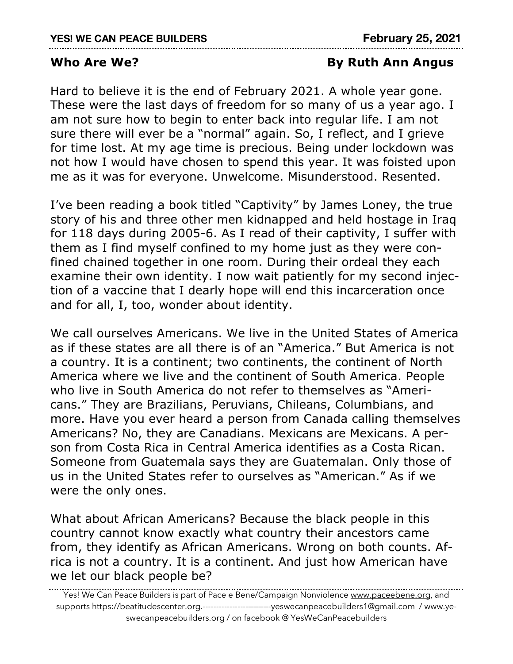## **Who Are We? By Ruth Ann Angus**

Hard to believe it is the end of February 2021. A whole year gone. These were the last days of freedom for so many of us a year ago. I am not sure how to begin to enter back into regular life. I am not sure there will ever be a "normal" again. So, I reflect, and I grieve for time lost. At my age time is precious. Being under lockdown was not how I would have chosen to spend this year. It was foisted upon me as it was for everyone. Unwelcome. Misunderstood. Resented.

I've been reading a book titled "Captivity" by James Loney, the true story of his and three other men kidnapped and held hostage in Iraq for 118 days during 2005-6. As I read of their captivity, I suffer with them as I find myself confined to my home just as they were confined chained together in one room. During their ordeal they each examine their own identity. I now wait patiently for my second injection of a vaccine that I dearly hope will end this incarceration once and for all, I, too, wonder about identity.

We call ourselves Americans. We live in the United States of America as if these states are all there is of an "America." But America is not a country. It is a continent; two continents, the continent of North America where we live and the continent of South America. People who live in South America do not refer to themselves as "Americans." They are Brazilians, Peruvians, Chileans, Columbians, and more. Have you ever heard a person from Canada calling themselves Americans? No, they are Canadians. Mexicans are Mexicans. A person from Costa Rica in Central America identifies as a Costa Rican. Someone from Guatemala says they are Guatemalan. Only those of us in the United States refer to ourselves as "American." As if we were the only ones.

What about African Americans? Because the black people in this country cannot know exactly what country their ancestors came from, they identify as African Americans. Wrong on both counts. Africa is not a country. It is a continent. And just how American have we let our black people be?

Yes! We Can Peace Builders is part of Pace e Bene/Campaign Nonviolence www.paceebene.org, and supports https://beatitudescenter.org.-----------------————-yeswecanpeacebuilders1@gmail.com / www.yeswecanpeacebuilders.org / on facebook @ YesWeCanPeacebuilders